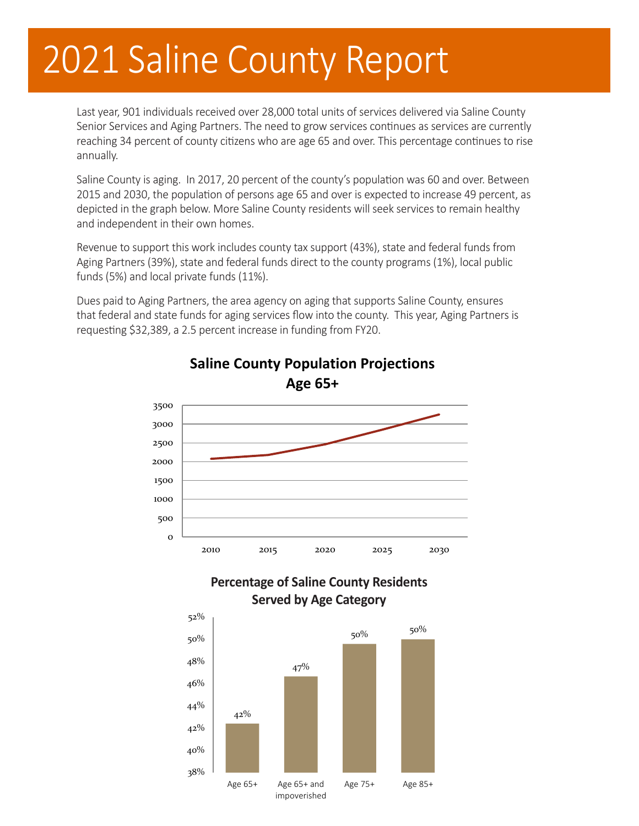# 2021 Saline County Report

Last year, 901 individuals received over 28,000 total units of services delivered via Saline County Senior Services and Aging Partners. The need to grow services continues as services are currently reaching 34 percent of county citizens who are age 65 and over. This percentage continues to rise annually.

Saline County is aging. In 2017, 20 percent of the county's population was 60 and over. Between 2015 and 2030, the population of persons age 65 and over is expected to increase 49 percent, as depicted in the graph below. More Saline County residents will seek services to remain healthy and independent in their own homes.

Revenue to support this work includes county tax support (43%), state and federal funds from Aging Partners (39%), state and federal funds direct to the county programs (1%), local public funds (5%) and local private funds (11%).

Dues paid to Aging Partners, the area agency on aging that supports Saline County, ensures that federal and state funds for aging services flow into the county. This year, Aging Partners is requesting \$32,389, a 2.5 percent increase in funding from FY20.



### **Saline County Population Projections Age 65+**

#### **Percentage of Saline County Residents Served by Age Category**

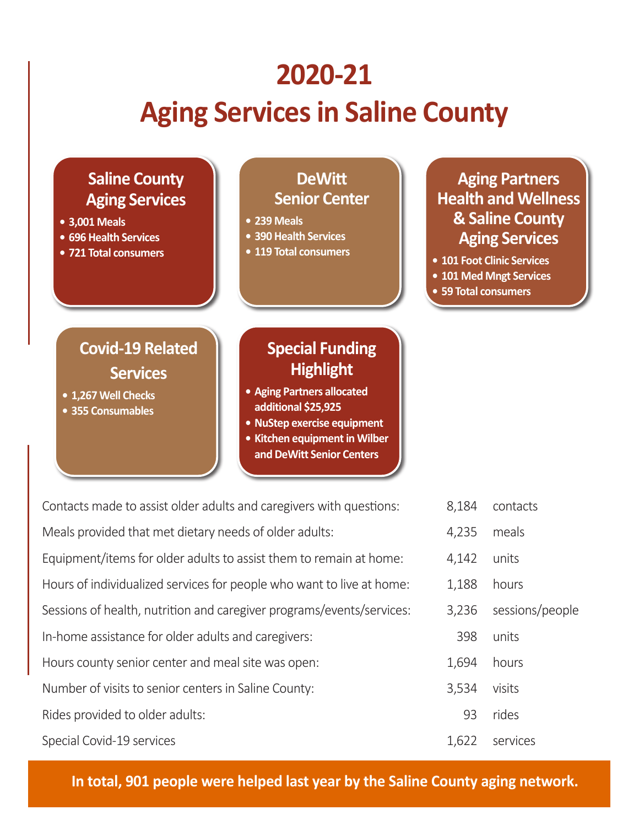### **2020-21**

## **Aging Services in Saline County**



| Contacts made to assist older adults and caregivers with questions:                               | 8,184 | contacts |  |
|---------------------------------------------------------------------------------------------------|-------|----------|--|
| Meals provided that met dietary needs of older adults:                                            | 4,235 | meals    |  |
| Equipment/items for older adults to assist them to remain at home:                                | 4,142 | units    |  |
| Hours of individualized services for people who want to live at home:<br>1,188<br>hours           |       |          |  |
| Sessions of health, nutrition and caregiver programs/events/services:<br>sessions/people<br>3,236 |       |          |  |
| In-home assistance for older adults and caregivers:                                               | 398   | units    |  |
| Hours county senior center and meal site was open:                                                | 1,694 | hours    |  |
| Number of visits to senior centers in Saline County:                                              | 3,534 | visits   |  |
| Rides provided to older adults:                                                                   | 93    | rides    |  |
| Special Covid-19 services                                                                         | 1,622 | services |  |
|                                                                                                   |       |          |  |

**In total, 901 people were helped last year by the Saline County aging network.**